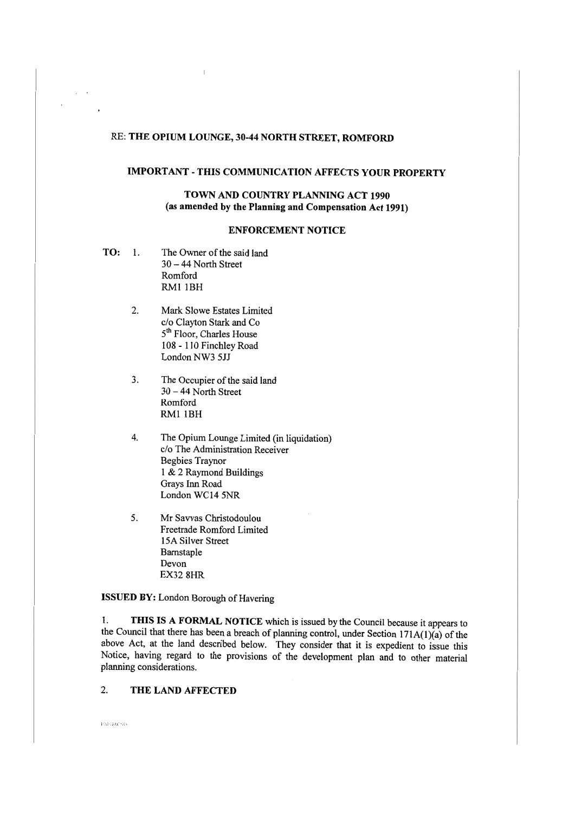# RE: THE OPIUM LOUNGE, 30-44 NORTH STREET, ROMFORD

## **IMPORTANT** - **THIS COMMUNICATION AFFECTS YOUR PROPERTY**

### **TOWN AND COUNTRY PLANNING ACT 1990 (as amended by the Planning and Compensation Act 1991)**

## **ENFORCEMENT NOTICE**

**TO:** 1. The Owner of the said land 30 - 44 North Street Romford RMl lBH

 $\epsilon$ 

- 2. Mark Slowe Estates Limited c/o Clayton Stark and Co 5<sup>th</sup> Floor, Charles House 108 - 110 Finchley Road London NW3 5JJ
- 3. The Occupier of the said land 30 - 44 North Street Romford RMl IBH
- 4. The Opium Lounge Limited (in liquidation) c/o The Administration Receiver Begbies Traynor 1 & 2 Raymond Buildings Grays Inn Road London WC14 5NR
- 5. Mr Savvas Christodoulou Freetrade Romford Limited 15A Silver Street Barnstaple Devon EX32 8HR

**ISSUED BY:** London Borough of Havering

I. **THIS IS A FORMAL NOTICE** which is issued by the Council because it appears to the Council that there has been a breach of planning control, under Section 171A(1)(a) of the above Act, at the land described below. They consider that it is expedient to issue this Notice, having regard to the provisions of the development plan and to other material planning considerations.

#### 2. **THE LAND AFFECTED**

ENFORCNO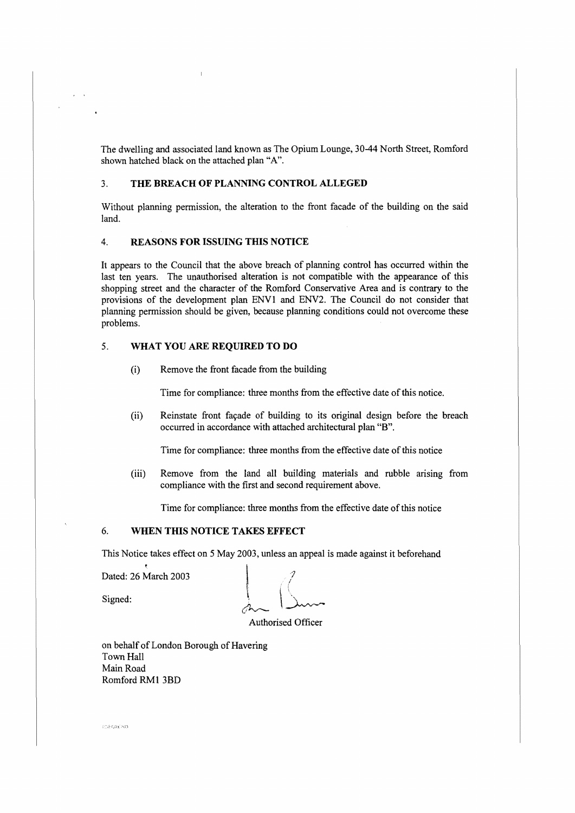The dwelling and associated land known as The Opium Lounge, 30-44 North Street, Romford shown hatched black on the attached plan "A".

#### 3. **THE BREACH OF PLANNING CONTROL ALLEGED**

Without planning permission, the alteration to the front facade of the building on the said land.

#### 4. **REASONS FOR ISSUING THIS NOTICE**

It appears to the Council that the above breach of planning control has occurred within the last ten years. The unauthorised alteration is not compatible with the appearance of this shopping street and the character of the Romford Conservative Area and is contrary to the provisions of the development plan ENV l and ENV2. The Council do not consider that planning permission should be given, because planning conditions could not overcome these problems.

## 5. **WHAT YOU ARE REQUIRED TO DO**

(i) Remove the front facade from the building

Time for compliance: three months from the effective date of this notice.

(ii) Reinstate front fayade of building to its original design before the breach occurred in accordance with attached architectural plan "B".

Time for compliance: three months from the effective date of this notice

(iii) Remove from the land all building materials and rubble arising from compliance with the first and second requirement above.

Time for compliance: three months from the effective date of this notice

## 6. **WHEN THIS NOTICE TAKES EFFECT**

This Notice takes effect on 5 May 2003, unless an appeal is made against it beforehand

Dated: 26 March 2003

Signed:

*7* 

Authorised Officer

on behalf of London Borough of Havering Town Hall Main Road Romford RMI 3BD

**CROROO**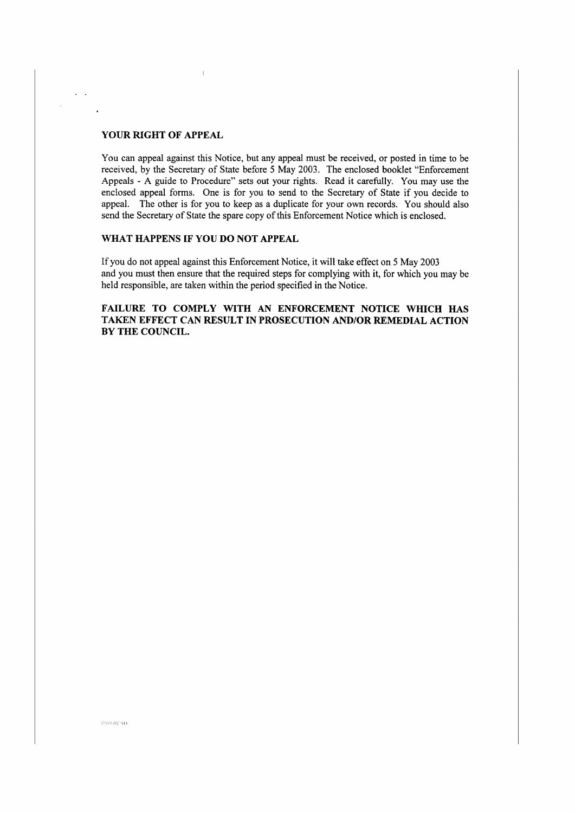## **YOUR RIGHT OF APPEAL**

 $\mathcal{A}^{\mathcal{A}}$  ,  $\mathcal{A}^{\mathcal{A}}$ 

 $\overline{a}$ 

You can appeal against this Notice, but any appeal must be received, or posted in time to be received, by the Secretary of State before 5 May 2003. The enclosed booklet "Enforcement Appeals - A guide to Procedure" sets out your rights. Read it carefully. You may use the enclosed appeal forms. One is for you to send to the Secretary of State if you decide to appeal. The other is for you to keep as a duplicate for your own records. You should also send the Secretary of State the spare copy of this Enforcement Notice which is enclosed.

### **WHAT HAPPENS IF YOU DO NOT APPEAL**

 $\overline{\phantom{a}}$ 

If you do not appeal against this Enforcement Notice, it will take effect on 5 May 2003 and you must then ensure that the required steps for complying with it, for which you may be held responsible, are taken within the period specified **in** the Notice.

**FAILURE TO COMPLY WITH AN ENFORCEMENT NOTICE WHICH HAS TAKEN EFFECT CAN RESULT IN PROSECUTION AND/OR REMEDIAL ACTION BY THE COUNCIL.** 

**PRIRCKO**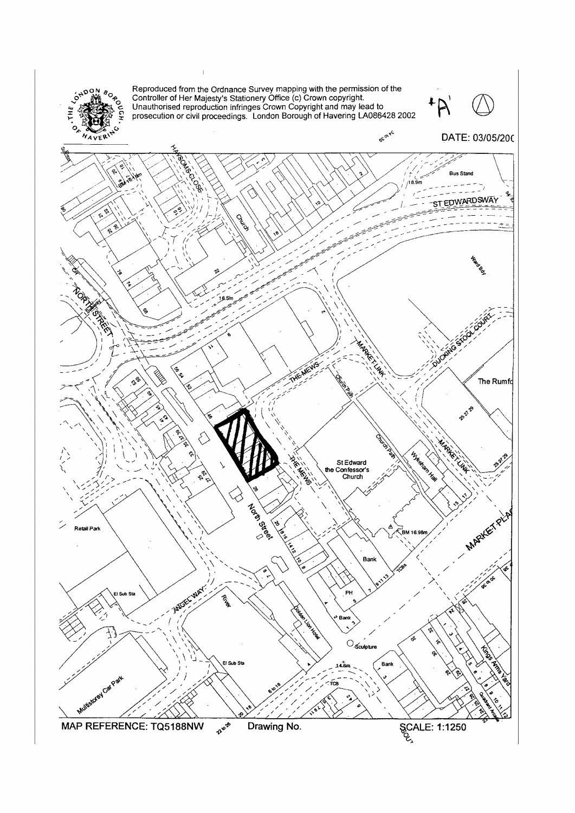

Reproduced from the Ordnance Survey mapping with the permission of the Controller of Her Majesty's Stationery Office (c) Crown copyright.<br>Unauthorised reproduction infringes Crown Copyright and may lead to prosecution or c



**6**COLVE DATE: 03/05/200 У ē **SENTENAM Bus Stand** /18.9r ST EDWARDSWAY Calcos **ROPARTICAL CONTROL** MARKET LAW THE MEWS ¢ The Rumfd E27.29 MARKETINA TOOR Infrasen Hay **2218** St Edward<br>the Confessor's<br>Church ېم ♂ Notes is a Read **MARYLET PLAY** ಕ್ರ ۷ Δ Retail Park BM 16.98 نې<br>په Bank AVERY MAY l Sub Sta **PH** Bant  $\bigcirc_{\text{Sculpture}}$ El Sub Sta Bank Mutuscrey Carpart

Zuerb **SCALE: 1:1250** MAP REFERENCE: TQ5188NW Drawing No.